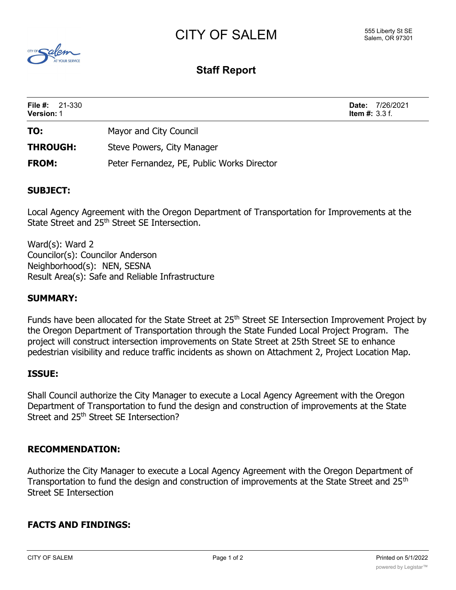# CITY OF SALEM



# **Staff Report**

| <b>File #:</b> $21-330$<br><b>Version: 1</b> |                                            | <b>Date:</b> 7/26/2021<br><b>Item #:</b> 3.3 f. |
|----------------------------------------------|--------------------------------------------|-------------------------------------------------|
| TO:                                          | Mayor and City Council                     |                                                 |
| <b>THROUGH:</b>                              | Steve Powers, City Manager                 |                                                 |
| <b>FROM:</b>                                 | Peter Fernandez, PE, Public Works Director |                                                 |

## **SUBJECT:**

Local Agency Agreement with the Oregon Department of Transportation for Improvements at the State Street and 25th Street SE Intersection.

Ward(s): Ward 2 Councilor(s): Councilor Anderson Neighborhood(s): NEN, SESNA Result Area(s): Safe and Reliable Infrastructure

### **SUMMARY:**

Funds have been allocated for the State Street at 25<sup>th</sup> Street SE Intersection Improvement Project by the Oregon Department of Transportation through the State Funded Local Project Program. The project will construct intersection improvements on State Street at 25th Street SE to enhance pedestrian visibility and reduce traffic incidents as shown on Attachment 2, Project Location Map.

#### **ISSUE:**

Shall Council authorize the City Manager to execute a Local Agency Agreement with the Oregon Department of Transportation to fund the design and construction of improvements at the State Street and 25<sup>th</sup> Street SE Intersection?

#### **RECOMMENDATION:**

Authorize the City Manager to execute a Local Agency Agreement with the Oregon Department of Transportation to fund the design and construction of improvements at the State Street and 25<sup>th</sup> Street SE Intersection

### **FACTS AND FINDINGS:**